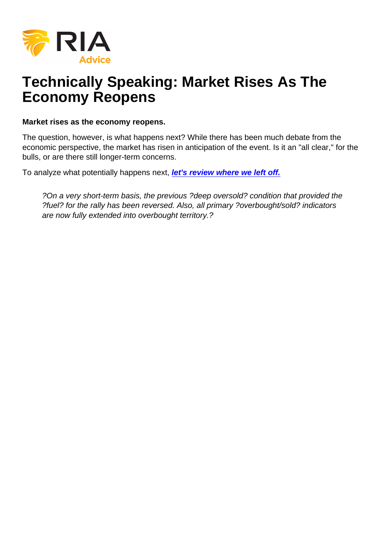# Technically Speaking: Market Rises As The Economy Reopens

Market rises as the economy reopens.

The question, however, is what happens next? While there has been much debate from the economic perspective, the market has risen in anticipation of the event. Is it an "all clear," for the bulls, or are there still longer-term concerns.

To analyze what potentially happens next, [let's review where we left off.](https://realinvestmentadvice.com/market-stalls-is-the-bear-market-rally-over-full-report/)

?On a very short-term basis, the previous ?deep oversold? condition that provided the ?fuel? for the rally has been reversed. Also, all primary ?overbought/sold? indicators are now fully extended into overbought territory.?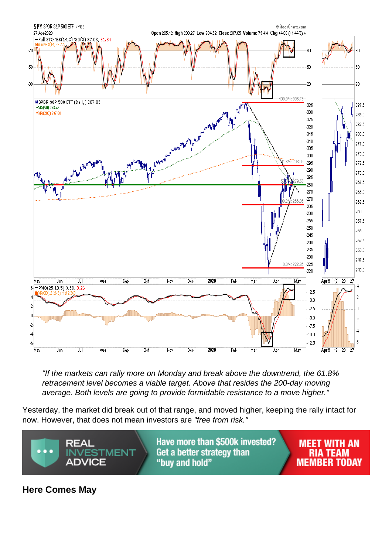"If the markets can rally more on Monday and break above the downtrend, the 61.8% retracement level becomes a viable target. Above that resides the 200-day moving average. Both levels are going to provide formidable resistance to a move higher."

Yesterday, the market did break out of that range, and moved higher, keeping the rally intact for now. However, that does not mean investors are "free from risk."

Here Comes May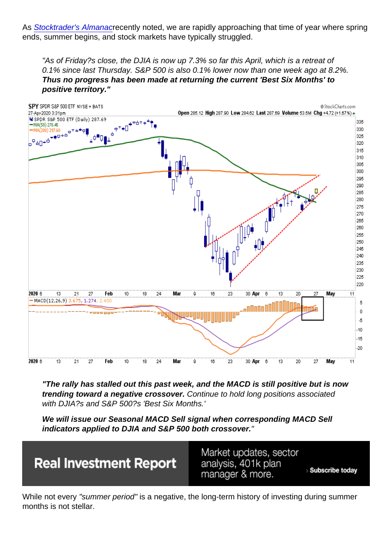As [Stocktrader's Almanac](http://www.stocktradersalmanac.com)recently noted, we are rapidly approaching that time of year where spring ends, summer begins, and stock markets have typically struggled.

"As of Friday?s close, the DJIA is now up 7.3% so far this April, which is a retreat of 0.1% since last Thursday. S&P 500 is also 0.1% lower now than one week ago at 8.2%. Thus no progress has been made at returning the current 'Best Six Months' to positive territory."

"The rally has stalled out this past week, and the MACD is still positive but is now trending toward a negative crossover. Continue to hold long positions associated with DJIA?s and S&P 500?s 'Best Six Months.'

We will issue our Seasonal MACD Sell signal when corresponding MACD Sell indicators applied to DJIA and S&P 500 both crossover.

While not every "summer period" is a negative, the long-term history of investing during summer months is not stellar.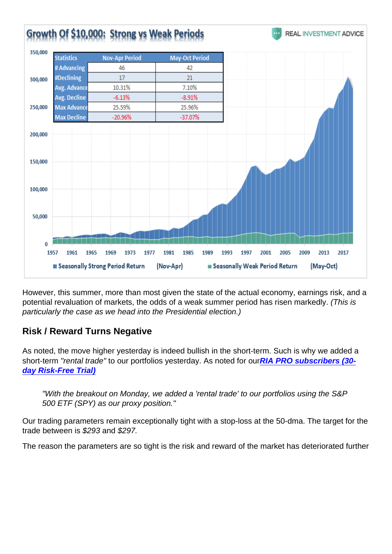However, this summer, more than most given the state of the actual economy, earnings risk, and a potential revaluation of markets, the odds of a weak summer period has risen markedly. (This is particularly the case as we head into the Presidential election.)

Risk / Reward Turns Negative

As noted, the move higher yesterday is indeed bullish in the short-term. Such is why we added a short-term "rental trade" to our portfolios yesterday. As noted for our[RIA PRO subscribers \(30](https://riapro.net/home) [day Risk-Free Trial\)](https://riapro.net/home)

"With the breakout on Monday, we added a 'rental trade' to our portfolios using the S&P 500 ETF (SPY) as our proxy position."

Our trading parameters remain exceptionally tight with a stop-loss at the 50-dma. The target for the trade between is \$293 and \$297.

The reason the parameters are so tight is the risk and reward of the market has deteriorated further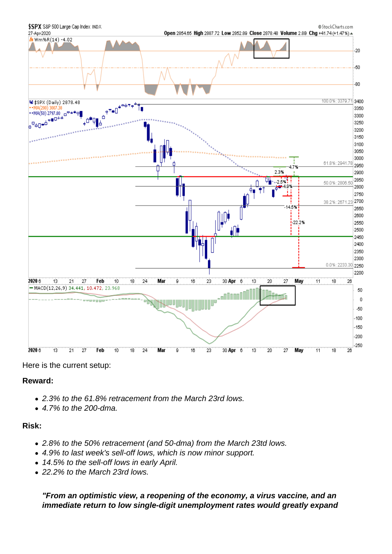Here is the current setup:

Reward:

- 2.3% to the 61.8% retracement from the March 23rd lows.
- 4.7% to the 200-dma.

Risk:

- 2.8% to the 50% retracement (and 50-dma) from the March 23td lows.
- 4.9% to last week's sell-off lows, which is now minor support.
- 14.5% to the sell-off lows in early April.
- 22.2% to the March 23rd lows.

"From an optimistic view, a reopening of the economy, a virus vaccine, and an immediate return to low single-digit unemployment rates would greatly expand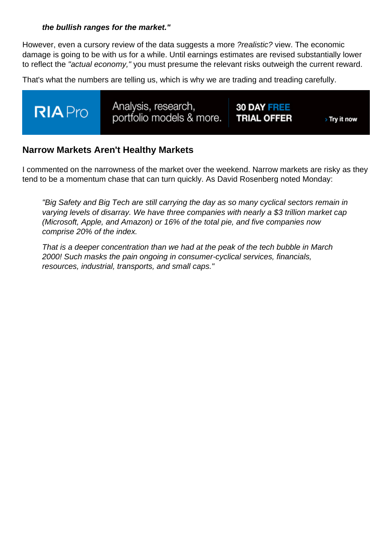the bullish ranges for the market."

However, even a cursory review of the data suggests a more ?realistic? view. The economic damage is going to be with us for a while. Until earnings estimates are revised substantially lower to reflect the "actual economy," you must presume the relevant risks outweigh the current reward.

That's what the numbers are telling us, which is why we are trading and treading carefully.

# Narrow Markets Aren't Healthy Markets

I commented on the narrowness of the market over the weekend. Narrow markets are risky as they tend to be a momentum chase that can turn quickly. As David Rosenberg noted Monday:

"Big Safety and Big Tech are still carrying the day as so many cyclical sectors remain in varying levels of disarray. We have three companies with nearly a \$3 trillion market cap (Microsoft, Apple, and Amazon) or 16% of the total pie, and five companies now comprise 20% of the index.

That is a deeper concentration than we had at the peak of the tech bubble in March 2000! Such masks the pain ongoing in consumer-cyclical services, financials, resources, industrial, transports, and small caps."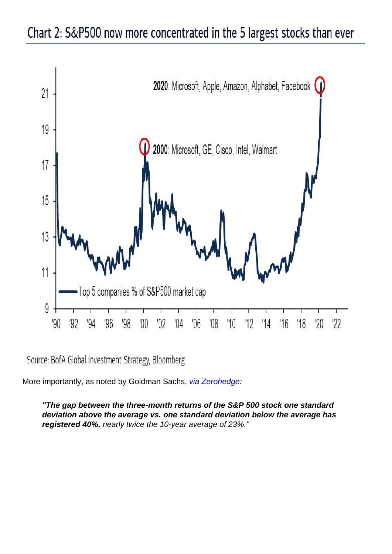More importantly, as noted by Goldman Sachs, [via Zerohedge:](https://www.zerohedge.com/markets/goldman-flips-bearish-sees-imminent-momentum-crash-all-sp-gains-come-just-5-stocks)

"The gap between the three-month returns of the S&P 500 stock one standard deviation above the average vs. one standard deviation below the average has registered 40%, nearly twice the 10-year average of 23%."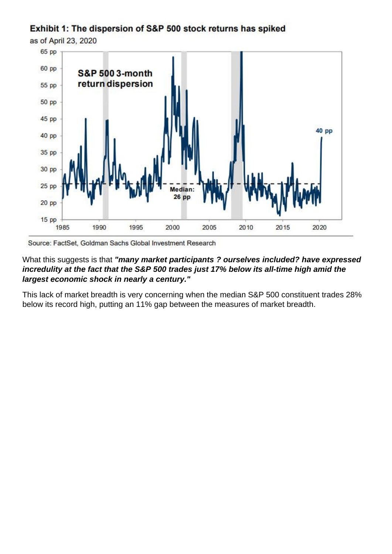What this suggests is that "m any market participants ? ourselves included? have expressed incredulity at the fact that the S&P 500 trades just 17% below its all-time high amid the largest economic shock in nearly a century."

This lack of market breadth is very concerning when the median S&P 500 constituent trades 28% below its record high, putting an 11% gap between the measures of market breadth.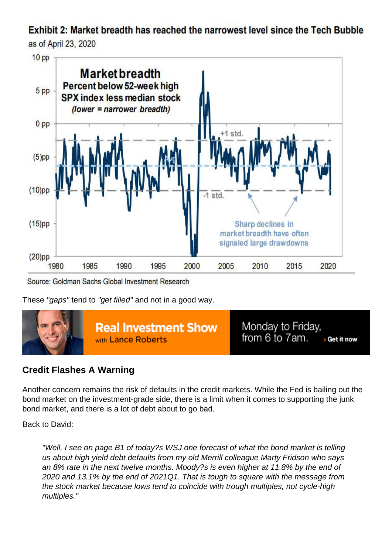These "gaps" tend to "get filled" and not in a good way.

## Credit Flashes A Warning

Another concern remains the risk of defaults in the credit markets. While the Fed is bailing out the bond market on the investment-grade side, there is a limit when it comes to supporting the junk bond market, and there is a lot of debt about to go bad.

#### Back to David:

"Well, I see on page B1 of today?s WSJ one forecast of what the bond market is telling us about high yield debt defaults from my old Merrill colleague Marty Fridson who says an 8% rate in the next twelve months. Moody?s is even higher at 11.8% by the end of 2020 and 13.1% by the end of 2021Q1. That is tough to square with the message from the stock market because lows tend to coincide with trough multiples, not cycle-high multiples."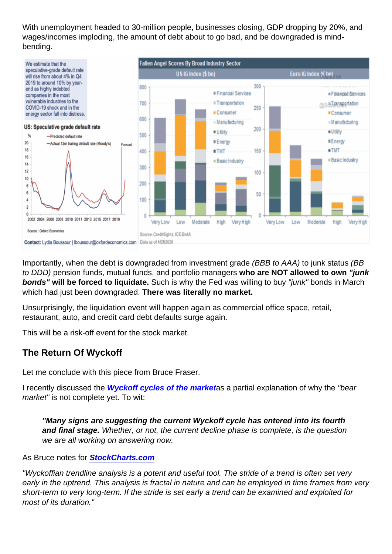With unemployment headed to 30-million people, businesses closing, GDP dropping by 20%, and wages/incomes imploding, the amount of debt about to go bad, and be downgraded is mindbending.

Importantly, when the debt is downgraded from investment grade (BBB to AAA) to junk status (BB to DDD) pension funds, mutual funds, and portfolio managers who are NOT allowed to own "junk bonds" will be forced to liquidate. Such is why the Fed was willing to buy "junk" bonds in March which had just been downgraded. There was literally no market.

Unsurprisingly, the liquidation event will happen again as commercial office space, retail, restaurant, auto, and credit card debt defaults surge again.

This will be a risk-off event for the stock market.

## The Return Of Wyckoff

Let me conclude with this piece from Bruce Fraser.

I recently discussed the [Wyckoff cycles of the market](https://realinvestmentadvice.com/technically-speaking-the-4-phases-of-a-full-market-cycle/) as a partial explanation of why the "bear market" is not complete yet. To wit:

"Many signs are suggesting the current Wyckoff cycle has entered into its fourth and final stage. Whether, or not, the current decline phase is complete, is the question we are all working on answering now.

#### As Bruce notes for [StockCharts.com](https://stockcharts.com/articles/wyckoff/2020/04/stride-of-the-market-in-peril-184.html)

"Wyckoffian trendline analysis is a potent and useful tool. The stride of a trend is often set very early in the uptrend. This analysis is fractal in nature and can be employed in time frames from very short-term to very long-term. If the stride is set early a trend can be examined and exploited for most of its duration."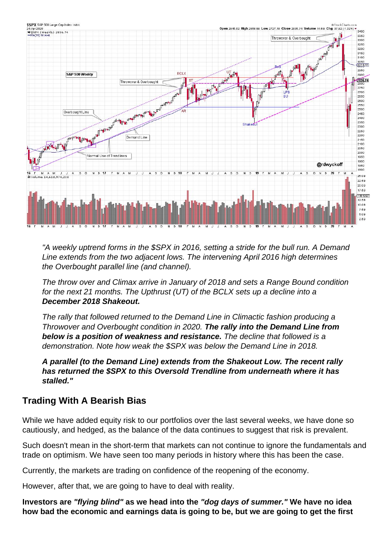

"A weekly uptrend forms in the \$SPX in 2016, setting a stride for the bull run. A Demand Line extends from the two adjacent lows. The intervening April 2016 high determines the Overbought parallel line (and channel).

The throw over and Climax arrive in January of 2018 and sets a Range Bound condition for the next 21 months. The Upthrust (UT) of the BCLX sets up a decline into a **December 2018 Shakeout.**

The rally that followed returned to the Demand Line in Climactic fashion producing a Throwover and Overbought condition in 2020. **The rally into the Demand Line from below is a position of weakness and resistance.** The decline that followed is a demonstration. Note how weak the \$SPX was below the Demand Line in 2018.

**A parallel (to the Demand Line) extends from the Shakeout Low. The recent rally has returned the \$SPX to this Oversold Trendline from underneath where it has stalled."**

# **Trading With A Bearish Bias**

While we have added equity risk to our portfolios over the last several weeks, we have done so cautiously, and hedged, as the balance of the data continues to suggest that risk is prevalent.

Such doesn't mean in the short-term that markets can not continue to ignore the fundamentals and trade on optimism. We have seen too many periods in history where this has been the case.

Currently, the markets are trading on confidence of the reopening of the economy.

However, after that, we are going to have to deal with reality.

**Investors are "flying blind" as we head into the "dog days of summer." We have no idea how bad the economic and earnings data is going to be, but we are going to get the first**